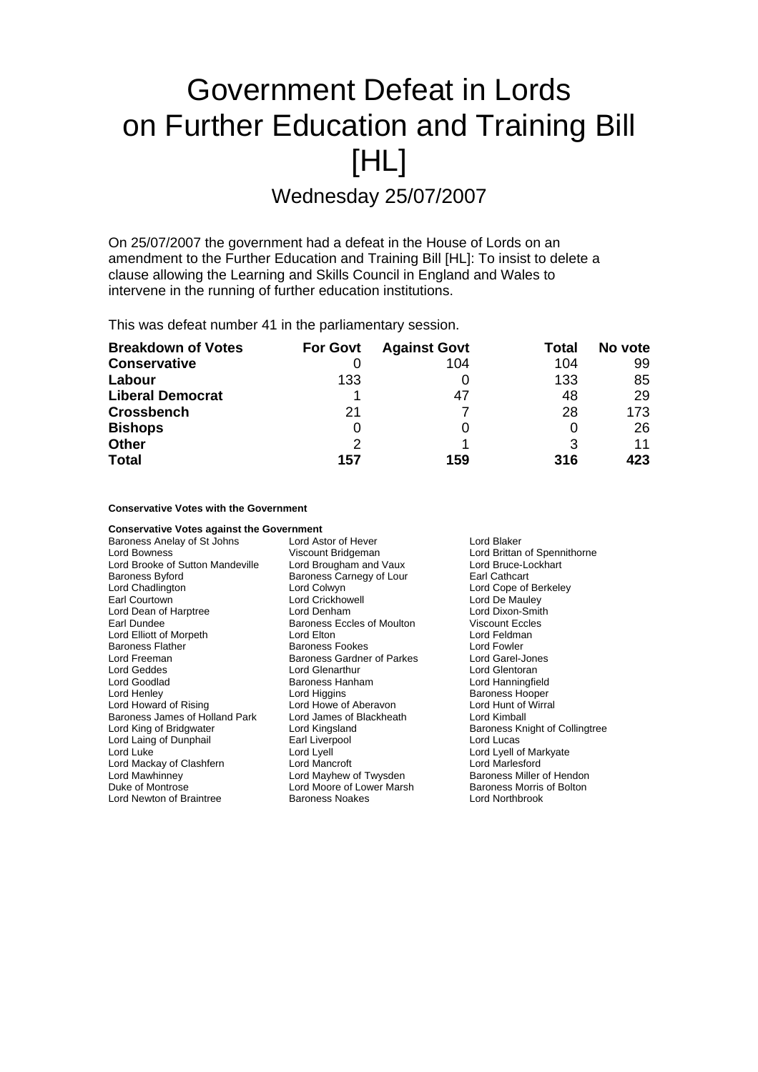# Government Defeat in Lords on Further Education and Training Bill [HL]

Wednesday 25/07/2007

On 25/07/2007 the government had a defeat in the House of Lords on an amendment to the Further Education and Training Bill [HL]: To insist to delete a clause allowing the Learning and Skills Council in England and Wales to intervene in the running of further education institutions.

This was defeat number 41 in the parliamentary session.

| <b>Breakdown of Votes</b> | <b>For Govt</b> | <b>Against Govt</b> | Total | No vote |
|---------------------------|-----------------|---------------------|-------|---------|
| <b>Conservative</b>       |                 | 104                 | 104   | 99      |
| Labour                    | 133             |                     | 133   | 85      |
| <b>Liberal Democrat</b>   |                 | 47                  | 48    | 29      |
| <b>Crossbench</b>         | 21              |                     | 28    | 173     |
| <b>Bishops</b>            | 0               |                     |       | 26      |
| <b>Other</b>              | 2               |                     | 3     | 11      |
| <b>Total</b>              | 157             | 159                 | 316   | 423     |

## **Conservative Votes with the Government**

**Conservative Votes against the Government** Baroness Anelay of St Johns Lord Astor of Hever Lord Blaker Lord Bowness<br>
Lord Brooke of Sutton Mandeville 
Lord Brougham and Vaux
Lord Brooke of Sutton Mandeville
Lord Bruce-Lockhart
Lord Bruce-Lockhart

Lord Bruce-Lockhart

Lord Bruce-Lockhart

Lord Bruce-Lockhart

Lord Bruce-Lo Lord Brooke of Sutton Mandeville Lord Brougham and Vaux Lord Bruce-Lord Bruce-Lord Bruce-Lockhart<br>Baroness Butord Baroness Carnegy of Lour Larl Cathcart Lord Chadlington Lord Colwyn Lord Cope of Berkeley Earl Courtown **Carl Courtown**<br>
Lord Dean of Harptree **Court Court Court Court Court Court Court Court Court Court Court Court Court Court Court**<br>
Lord Dixon-Smith Lord Dean of Harptree Lord Denham Lord Dixon-Smith Lord Elliott of Morpeth Lord Elton Lord Feldman Baroness Flather **Baroness Fookes** Lord Fowler<br>
Lord Freeman **Lord Caroness Caroness Gardner** of Parkes Lord Garel-Jones Lord Geddes Lord Glenarthur Lord Glentoran Lord Goodlad Baroness Hanham Lord Hanningfield Lord Henley **Communist Lord Higgins** Lord Higgins **Baroness Hooper**<br>
Lord Howard of Rising **Lord Howe of Aberavon** Lord Hunt of Wirral Baroness James of Holland Park Lord James of Blackheath Lord Kimball Lord King of Bridgwater **Lord Kingsland** Baroness Knight of Collingtree<br>
Lord Laing of Dunphail **Baroness** Earl Liverpool **Baroness** Lord Lucas Lord Laing of Dunphail Lord Luke Lord Lord Lyell Lord Lyell Lord Lyell Lord Lyell Lord Lyell and Lyell of Markyate Lord Mackay of Clashfern Lord Mancroft Lord Marlesford Lord Mawhinney **Lord Mayhew of Twysden** Baroness Miller of Hendon<br>
Duke of Montrose **Baroness Lord Moore of Lower Marsh** Baroness Morris of Bolton Lord Newton of Braintree Baroness Noakes Lord Northbrook

Baroness Carnegy of Lour Baroness Eccles of Moulton Baroness Gardner of Parkes Lord Howe of Aberavon Lord Moore of Lower Marsh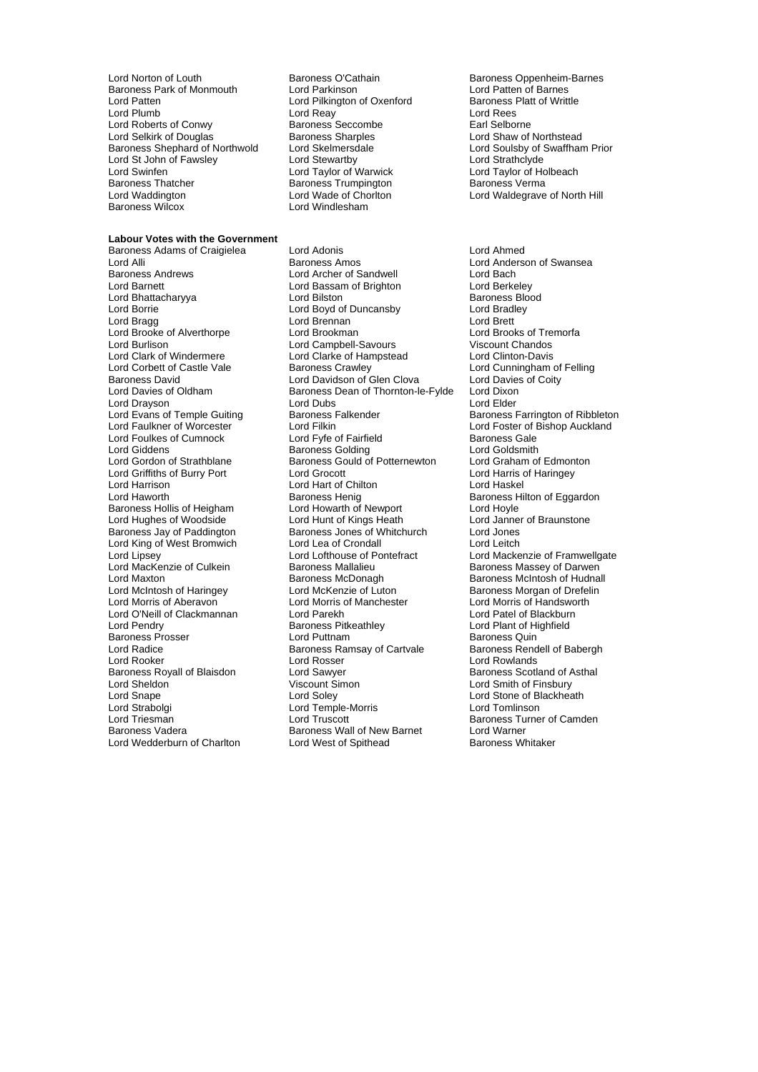Lord Norton of Louth **Baroness O'Cathain** Baroness Oppenheim-Barnes<br>
Baroness Park of Monmouth Lord Parkinson<br>
Lord Patten of Barnes Baroness Park of Monmouth Lord Parkinson Lord Patten of Barnes<br>
Lord Patten Lord Pilkington of Oxenford Baroness Platt of Writtle Lord Patten Lord Pilkington of Oxenford Baroness I<br>Lord Platt Lord Peav Lord Peav Lord Peac Lord Roberts of Conwy<br>
Lord Selkirk of Douglas<br>
Baroness Sharples Baroness Shephard of Northwold Lord Skelmersdale Lord Soulsby of Strategies and Lord Strategies Lord Strategie<br>
Lord Strategies Lord Strategies Lord Strategies Lord Strategies Lord Strategies Lord Strategies Lord Strategie Lord St John of Fawsley Lord Stewartby<br>
Lord Swinfen Cord Taylor of Warwick Lord Swinfen Lord Taylor of Warwick Lord Taylor of Holbeach Baroness Thatcher **Baroness Thatcher Baroness Trumpington**<br> **Baroness Thatcher Baroness I Lord Wade of Choriton** Baroness Wilcox

#### **Labour Votes with the Government**

Lord Borrie **Lord Bradley Lord Bradley** Lord Clark of Windermere Lord Clarke of Hampstead<br>
Lord Corbett of Castle Vale Baroness Crawley Lord Griffiths of Burry Port Lord Grocott Lord Hughes of Woodside Lord Radice **Baroness Ramsay of Cartvale**<br>
Lord Rooker<br>
Lord Rosser Lord Strabolgi Lord Temple-Morris Lord Tomlinson Lord Wedderburn of Charlton

Lord Reay<br>Baroness Seccombe **Lord Real**<br>Earl Selborne Lord Wade of Chorlton Lord Waldegrave of North Hill<br>Lord Windlesham

Baroness Adams of Craigielea Lord Adonis Lord Ahmed Baroness Andrews Lord Archer of Sandwell Lord Bach Lord Bassam of Brighton Lord Berkeley<br>
Lord Bilston Lord Baroness Blood Lord Bhattacharyya **Lord Bilston** Baroness Bloom Baroness Bloom Baroness Bloom Baroness Bloom Baroness Bloom Baroness Bloom Bradley Lord Bragg Lord Brennan Lord Brett Lord Brooke of Alverthorpe Lord Brookman Lord Brooks of Tremorfacture Lord Brooks of Tremorfacture Lord Brooks of Tre<br>Lord Burlison Lord Campbell-Savours Viscount Chandos Lord Burlison Lord Campbell-Savours Viscount Chandos<br>
Lord Clark of Windermere Lord Clarke of Hampstead Lord Clinton-Davis Lord Corbett of Castle Vale **Baroness Crawley**<br>
Baroness David Baroness Crawley **Lord Clova**<br>
Lord Davies of Coitv<br>
Lord Davies of Coitv Baroness David Lord Davidson of Glen Clova Lord Davies<br>Lord Davidson of Glen Clova Lord Davies<br>Lord Davies of Oldham Baroness Dean of Thornton-le-Fylde Lord Dixon Baroness Dean of Thornton-le-Fylde Lord Drayson **Lord Dubs** Lord Dubs Lord Elder<br>
Lord Evans of Temple Guiting **Lord Baroness Falkender Lord Elder** Baroness F Lord Evans of Temple Guiting Baroness Falkender Baroness Farrington of Ribbleton<br>
Lord Faulkner of Worcester Lord Filkin Baroness Farrington of Ribbleton Lord Faulkner of Bishop Auckland Lord Filkin<br>
Lord Filkin<br>
Lord Fyfe of Fairfield<br>
Baroness Gale Lord Foulkes of Cumnock Lord Fyfe of Fairfield Baroness Gale Lord Giddens **Baroness Golding** Lord Goldsmith<br>
Lord Gordon of Strathblane Baroness Gould of Potternewton Lord Graham of Edmonton Baroness Gould of Potternewton Lord Graham of Edmonton Lord Graham of Edmonton Lord Harris of Haringey Lord Harrison Lord Hart of Chilton Lord Haskel Baroness Henig<br>
Lord Howarth of Newport<br>
Lord Hovle<br>
Lord Hovle Baroness Hollis of Heigham Lord Howarth of Newport Lord Hoyle<br>
Lord Hughes of Woodside Lord Hunt of Kings Heath Lord Janner of Braunstone Baroness Jay of Paddington Baroness Jones of Whitchurch Lord Jones<br>
Lord King of West Bromwich Lord Lea of Crondall Lord Lea Lord Leitch Lord King of West Bromwich Lord Lea of Crondall Lord Leitch<br>
Lord Lipsey Lord Mackenzie of Culkein Baroness Mallalieu Baroness Mallalieu<br>
Baroness Mallalieu Baroness Mallalieu Baroness Mallalieu Lord MacKenzie of Culkein **Baroness Mallalieu** Baroness Massey of Darwen<br>19 Baroness McDonagh Baroness McBonagh Baroness McIntosh of Hudna Lord Maxton **Baroness McDonagh** Baroness McDonagh Baroness McIntosh of Hudnall<br>
Lord McIntosh of Haringey **Baroness Luckenzie of Luton** Baroness Morgan of Drefelin Lord McIntosh of Haringey Lord McKenzie of Luton Baroness Morgan of Drefelin<br>
Lord Morris of Aberavon Lord Morris of Manchester Lord Morris of Handsworth Lord Morris of Manchester Lord O'Neill of Clackmannan Lord Parekh Lord Patel of Blackburn **Baroness Pitkeathley Lord Plant of Highfield<br>
Lord Puttnam Corporation Baroness Ouin** Baroness Prosser **Example 2** Lord Puttnam Baroness Quin<br>
Lord Radice **Baroness Alternative Baroness Australian**<br>
Lord Radice **Baroness Rendell of Babergh**<br>
Baroness Rendell of Babergh Lord Rooker Lord Rosser Lord Rosser Lord Rowlands<br>
Baroness Royall of Blaisdon Lord Sawyer Lord Baroness Scotland Lord Sawyer **Baroness Scotland of Asthal** Lord Sheldon Viscount Simon Lord Smith of Finsbury Lord Snape Lord Soley Lord Soley Lord Stone of Blackheath<br>
Lord Strabolgi Cord Temple-Morris Lord Tomlinson Lord Triesman Lord Truscott Baroness Turner of Camden<br>
Baroness Vadera Baroness Wall of New Barnet Lord Warner Baroness Wall of New Barnet Lord Warner<br>
Lord West of Spithead Baroness Whitaker

**Baroness Sharples Communist Constrainers** Lord Shaw of Northstead<br>
Lord Skelmersdale<br>
Lord Soulsby of Swaffham Prior

Lord Anderson of Swansea Lord Mackenzie of Framwellgate